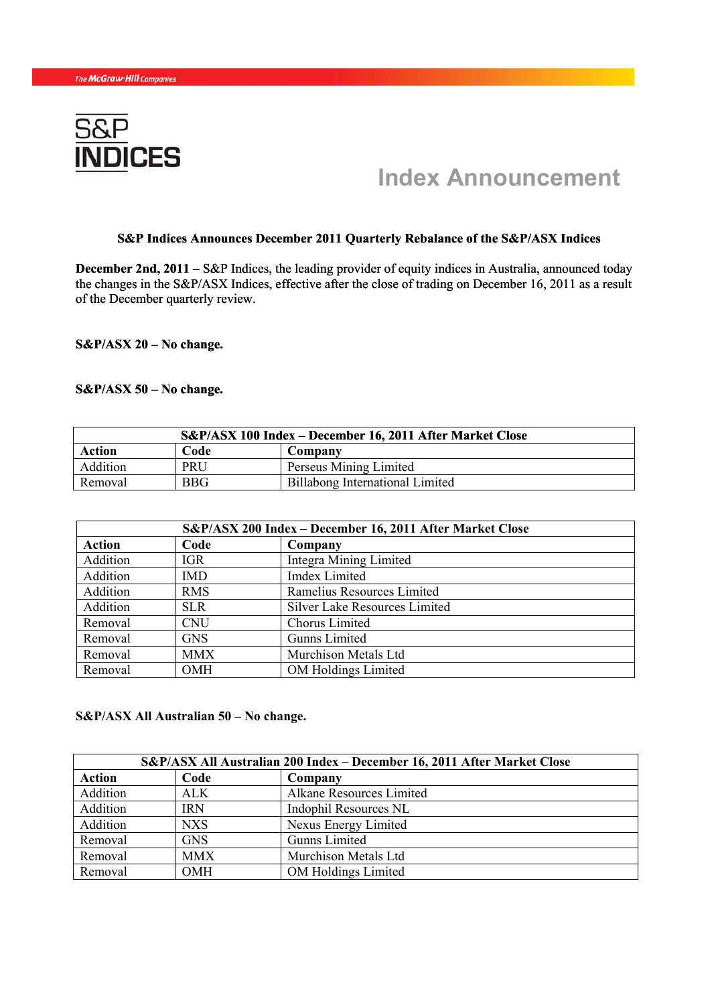

# **New York, January 7, 2010** - **Index Announcement**

#### **S&P Indices Announces December 2011 Quarterly Rebalance of the S&P/ASX Indices**

**December 2nd, 2011** – S&P Indices, the leading provider of equity indices in Australia, announced today the changes in the S&P/ASX Indices, effective after the close of trading on December 16, 2011 as a result of the December quarterly review.

**S&P/ASX 20 – No change.** 

#### **S&P/ASX 50 – No change.**

| S&P/ASX 100 Index – December 16, 2011 After Market Close |      |                                 |  |
|----------------------------------------------------------|------|---------------------------------|--|
| Action                                                   | Code | Company                         |  |
| Addition                                                 | PRU  | Perseus Mining Limited          |  |
| Removal                                                  | BBG  | Billabong International Limited |  |

| S&P/ASX 200 Index - December 16, 2011 After Market Close |            |                               |  |
|----------------------------------------------------------|------------|-------------------------------|--|
| <b>Action</b>                                            | Code       | Company                       |  |
| Addition                                                 | <b>IGR</b> | Integra Mining Limited        |  |
| Addition                                                 | <b>IMD</b> | <b>Imdex Limited</b>          |  |
| Addition                                                 | <b>RMS</b> | Ramelius Resources Limited    |  |
| Addition                                                 | <b>SLR</b> | Silver Lake Resources Limited |  |
| Removal                                                  | <b>CNU</b> | Chorus Limited                |  |
| Removal                                                  | <b>GNS</b> | <b>Gunns Limited</b>          |  |
| Removal                                                  | <b>MMX</b> | Murchison Metals Ltd          |  |
| Removal                                                  | <b>OMH</b> | <b>OM Holdings Limited</b>    |  |

## **S&P/ASX All Australian 50 – No change.**

| S&P/ASX All Australian 200 Index – December 16, 2011 After Market Close |            |                            |  |
|-------------------------------------------------------------------------|------------|----------------------------|--|
| <b>Action</b>                                                           | Code       | Company                    |  |
| Addition                                                                | <b>ALK</b> | Alkane Resources Limited   |  |
| Addition                                                                | <b>IRN</b> | Indophil Resources NL      |  |
| Addition                                                                | <b>NXS</b> | Nexus Energy Limited       |  |
| Removal                                                                 | <b>GNS</b> | <b>Gunns Limited</b>       |  |
| Removal                                                                 | <b>MMX</b> | Murchison Metals Ltd       |  |
| Removal                                                                 | <b>OMH</b> | <b>OM Holdings Limited</b> |  |